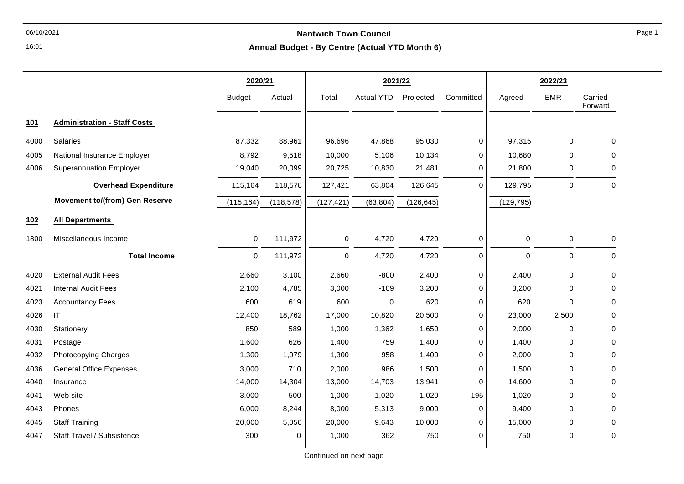**Annual Budget - By Centre (Actual YTD Month 6)**

|      |                                       | 2020/21       |            | 2021/22     |                   |            |             | 2022/23    |             |                    |
|------|---------------------------------------|---------------|------------|-------------|-------------------|------------|-------------|------------|-------------|--------------------|
|      |                                       | <b>Budget</b> | Actual     | Total       | <b>Actual YTD</b> | Projected  | Committed   | Agreed     | <b>EMR</b>  | Carried<br>Forward |
| 101  | <b>Administration - Staff Costs</b>   |               |            |             |                   |            |             |            |             |                    |
| 4000 | <b>Salaries</b>                       | 87,332        | 88,961     | 96,696      | 47,868            | 95,030     | 0           | 97,315     | $\mathbf 0$ | 0                  |
| 4005 | National Insurance Employer           | 8,792         | 9,518      | 10,000      | 5,106             | 10,134     | 0           | 10,680     | $\Omega$    | 0                  |
| 4006 | <b>Superannuation Employer</b>        | 19,040        | 20,099     | 20,725      | 10,830            | 21,481     | 0           | 21,800     | 0           | 0                  |
|      | <b>Overhead Expenditure</b>           | 115,164       | 118,578    | 127,421     | 63,804            | 126,645    | 0           | 129,795    | $\mathbf 0$ | $\mathbf 0$        |
|      | <b>Movement to/(from) Gen Reserve</b> | (115, 164)    | (118, 578) | (127, 421)  | (63, 804)         | (126, 645) |             | (129, 795) |             |                    |
| 102  | <b>All Departments</b>                |               |            |             |                   |            |             |            |             |                    |
| 1800 | Miscellaneous Income                  | $\mathbf 0$   | 111,972    | 0           | 4,720             | 4,720      | 0           | 0          | $\mathbf 0$ | 0                  |
|      | <b>Total Income</b>                   | $\mathbf 0$   | 111,972    | $\mathbf 0$ | 4,720             | 4,720      | 0           | $\Omega$   | $\Omega$    | $\Omega$           |
| 4020 | <b>External Audit Fees</b>            | 2,660         | 3,100      | 2,660       | $-800$            | 2,400      | 0           | 2,400      | 0           | 0                  |
| 4021 | <b>Internal Audit Fees</b>            | 2,100         | 4,785      | 3,000       | $-109$            | 3,200      | 0           | 3,200      | 0           | 0                  |
| 4023 | <b>Accountancy Fees</b>               | 600           | 619        | 600         | $\mathbf 0$       | 620        | 0           | 620        | $\Omega$    | 0                  |
| 4026 | IT                                    | 12,400        | 18,762     | 17,000      | 10,820            | 20,500     | 0           | 23,000     | 2,500       | 0                  |
| 4030 | Stationery                            | 850           | 589        | 1,000       | 1,362             | 1,650      | 0           | 2,000      | $\Omega$    | 0                  |
| 4031 | Postage                               | 1,600         | 626        | 1,400       | 759               | 1,400      | $\mathbf 0$ | 1,400      | 0           | 0                  |
| 4032 | Photocopying Charges                  | 1,300         | 1,079      | 1,300       | 958               | 1,400      | 0           | 2,000      | $\Omega$    | 0                  |
| 4036 | <b>General Office Expenses</b>        | 3,000         | 710        | 2,000       | 986               | 1,500      | 0           | 1,500      | $\Omega$    | 0                  |
| 4040 | Insurance                             | 14,000        | 14,304     | 13,000      | 14,703            | 13,941     | 0           | 14,600     | 0           | 0                  |
| 4041 | Web site                              | 3,000         | 500        | 1,000       | 1,020             | 1,020      | 195         | 1,020      | 0           | 0                  |
| 4043 | Phones                                | 6,000         | 8,244      | 8,000       | 5,313             | 9,000      | 0           | 9,400      | 0           | 0                  |
| 4045 | <b>Staff Training</b>                 | 20,000        | 5,056      | 20,000      | 9,643             | 10,000     | 0           | 15,000     | 0           | 0                  |
| 4047 | Staff Travel / Subsistence            | 300           | 0          | 1,000       | 362               | 750        | $\mathbf 0$ | 750        | 0           | $\mathbf 0$        |

16:01

Continued on next page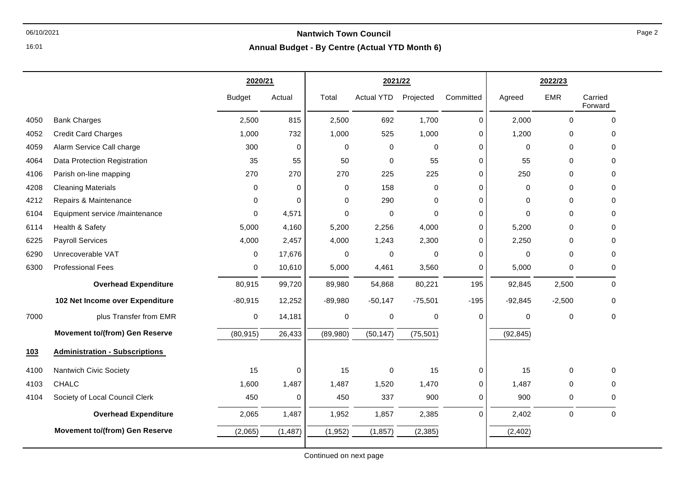#### 06/10/2021 **Nantwich Town Council Annual Budget - By Centre (Actual YTD Month 6)**

|      |                                       | 2020/21       |             |             | 2021/22           |             |             |             | 2022/23     |                    |
|------|---------------------------------------|---------------|-------------|-------------|-------------------|-------------|-------------|-------------|-------------|--------------------|
|      |                                       | <b>Budget</b> | Actual      | Total       | <b>Actual YTD</b> | Projected   | Committed   | Agreed      | <b>EMR</b>  | Carried<br>Forward |
| 4050 | <b>Bank Charges</b>                   | 2,500         | 815         | 2,500       | 692               | 1,700       | 0           | 2,000       | $\mathbf 0$ | $\mathbf 0$        |
| 4052 | <b>Credit Card Charges</b>            | 1,000         | 732         | 1,000       | 525               | 1,000       | 0           | 1,200       | $\mathbf 0$ | 0                  |
| 4059 | Alarm Service Call charge             | 300           | $\mathbf 0$ | $\mathbf 0$ | 0                 | $\Omega$    | 0           | $\Omega$    | $\Omega$    | $\Omega$           |
| 4064 | Data Protection Registration          | 35            | 55          | 50          | $\mathbf 0$       | 55          | 0           | 55          | $\Omega$    | 0                  |
| 4106 | Parish on-line mapping                | 270           | 270         | 270         | 225               | 225         | 0           | 250         | $\Omega$    | 0                  |
| 4208 | <b>Cleaning Materials</b>             | 0             | $\mathbf 0$ | $\mathbf 0$ | 158               | $\Omega$    | 0           | 0           | $\Omega$    | 0                  |
| 4212 | Repairs & Maintenance                 | 0             | $\mathbf 0$ | 0           | 290               | 0           | 0           | 0           | $\mathbf 0$ | 0                  |
| 6104 | Equipment service /maintenance        | 0             | 4,571       | $\mathbf 0$ | 0                 | $\Omega$    | 0           | $\Omega$    | $\Omega$    | $\Omega$           |
| 6114 | Health & Safety                       | 5,000         | 4,160       | 5,200       | 2,256             | 4,000       | 0           | 5,200       | $\Omega$    | $\Omega$           |
| 6225 | <b>Payroll Services</b>               | 4,000         | 2,457       | 4,000       | 1,243             | 2,300       | 0           | 2,250       | $\Omega$    | 0                  |
| 6290 | Unrecoverable VAT                     | 0             | 17,676      | 0           | 0                 | $\mathbf 0$ | 0           | $\mathbf 0$ | $\Omega$    | $\mathbf 0$        |
| 6300 | <b>Professional Fees</b>              | 0             | 10,610      | 5,000       | 4,461             | 3,560       | 0           | 5,000       | $\Omega$    | 0                  |
|      | <b>Overhead Expenditure</b>           | 80,915        | 99,720      | 89,980      | 54,868            | 80,221      | 195         | 92,845      | 2,500       | 0                  |
|      | 102 Net Income over Expenditure       | $-80,915$     | 12,252      | $-89,980$   | $-50,147$         | $-75,501$   | $-195$      | $-92,845$   | $-2,500$    | 0                  |
| 7000 | plus Transfer from EMR                | 0             | 14,181      | $\mathbf 0$ | $\mathsf 0$       | $\mathbf 0$ | $\mathbf 0$ | $\mathbf 0$ | $\mathbf 0$ | $\mathbf 0$        |
|      | <b>Movement to/(from) Gen Reserve</b> | (80, 915)     | 26,433      | (89,980)    | (50, 147)         | (75, 501)   |             | (92, 845)   |             |                    |
| 103  | <b>Administration - Subscriptions</b> |               |             |             |                   |             |             |             |             |                    |
| 4100 | <b>Nantwich Civic Society</b>         | 15            | 0           | 15          | 0                 | 15          | 0           | 15          | $\Omega$    | $\Omega$           |
| 4103 | <b>CHALC</b>                          | 1,600         | 1,487       | 1,487       | 1,520             | 1,470       | 0           | 1,487       | $\mathbf 0$ | 0                  |
| 4104 | Society of Local Council Clerk        | 450           | 0           | 450         | 337               | 900         | 0           | 900         | 0           | $\Omega$           |
|      | <b>Overhead Expenditure</b>           | 2,065         | 1,487       | 1,952       | 1,857             | 2,385       | $\Omega$    | 2,402       | $\mathbf 0$ | 0                  |
|      | <b>Movement to/(from) Gen Reserve</b> | (2,065)       | (1, 487)    | (1,952)     | (1, 857)          | (2, 385)    |             | (2, 402)    |             |                    |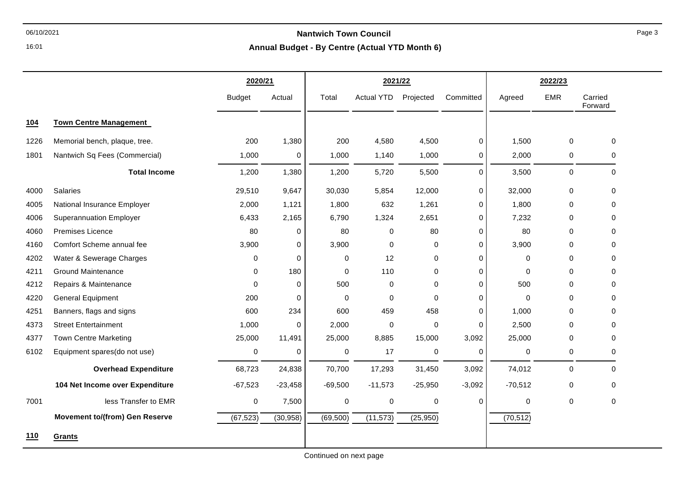## 06/10/2021 **Nantwich Town Council**

**Annual Budget - By Centre (Actual YTD Month 6)**

|      |                                       | 2020/21       |             | 2021/22     |                   |             |             | 2022/23     |             |                    |
|------|---------------------------------------|---------------|-------------|-------------|-------------------|-------------|-------------|-------------|-------------|--------------------|
|      |                                       | <b>Budget</b> | Actual      | Total       | <b>Actual YTD</b> | Projected   | Committed   | Agreed      | <b>EMR</b>  | Carried<br>Forward |
| 104  | <b>Town Centre Management</b>         |               |             |             |                   |             |             |             |             |                    |
| 1226 | Memorial bench, plaque, tree.         | 200           | 1,380       | 200         | 4,580             | 4,500       | 0           | 1,500       | $\mathbf 0$ | $\Omega$           |
| 1801 | Nantwich Sq Fees (Commercial)         | 1,000         | 0           | 1,000       | 1,140             | 1,000       | 0           | 2,000       | 0           | 0                  |
|      | <b>Total Income</b>                   | 1,200         | 1,380       | 1,200       | 5,720             | 5,500       | $\mathbf 0$ | 3,500       | $\mathbf 0$ | 0                  |
| 4000 | Salaries                              | 29,510        | 9,647       | 30,030      | 5,854             | 12,000      | 0           | 32,000      | $\mathbf 0$ | 0                  |
| 4005 | National Insurance Employer           | 2,000         | 1,121       | 1,800       | 632               | 1,261       | 0           | 1,800       | $\Omega$    | $\Omega$           |
| 4006 | <b>Superannuation Employer</b>        | 6,433         | 2,165       | 6,790       | 1,324             | 2,651       | 0           | 7,232       | $\mathbf 0$ | 0                  |
| 4060 | Premises Licence                      | 80            | 0           | 80          | 0                 | 80          | 0           | 80          | $\Omega$    | 0                  |
| 4160 | Comfort Scheme annual fee             | 3,900         | 0           | 3,900       | $\mathbf 0$       | 0           | $\Omega$    | 3,900       | $\Omega$    | $\Omega$           |
| 4202 | Water & Sewerage Charges              | 0             | 0           | 0           | 12                | 0           | $\mathbf 0$ | 0           | $\mathbf 0$ | 0                  |
| 4211 | <b>Ground Maintenance</b>             | 0             | 180         | $\mathbf 0$ | 110               | 0           | $\mathbf 0$ | 0           | $\Omega$    | 0                  |
| 4212 | Repairs & Maintenance                 | $\Omega$      | 0           | 500         | $\mathbf 0$       | $\Omega$    | 0           | 500         | $\Omega$    | 0                  |
| 4220 | <b>General Equipment</b>              | 200           | $\mathbf 0$ | $\mathbf 0$ | $\mathbf 0$       | $\Omega$    | $\mathbf 0$ | $\mathbf 0$ | $\Omega$    | 0                  |
| 4251 | Banners, flags and signs              | 600           | 234         | 600         | 459               | 458         | $\mathbf 0$ | 1,000       | $\Omega$    | 0                  |
| 4373 | <b>Street Entertainment</b>           | 1,000         | 0           | 2,000       | $\mathbf 0$       | $\mathbf 0$ | $\Omega$    | 2,500       | $\Omega$    | $\Omega$           |
| 4377 | <b>Town Centre Marketing</b>          | 25,000        | 11,491      | 25,000      | 8,885             | 15,000      | 3,092       | 25,000      | $\mathbf 0$ | 0                  |
| 6102 | Equipment spares(do not use)          | 0             | 0           | 0           | 17                | 0           | $\mathbf 0$ | 0           | 0           | 0                  |
|      | <b>Overhead Expenditure</b>           | 68,723        | 24,838      | 70,700      | 17,293            | 31,450      | 3,092       | 74,012      | 0           | $\mathbf 0$        |
|      | 104 Net Income over Expenditure       | $-67,523$     | $-23,458$   | $-69,500$   | $-11,573$         | $-25,950$   | $-3,092$    | $-70,512$   | 0           | 0                  |
| 7001 | less Transfer to EMR                  | 0             | 7,500       | 0           | 0                 | $\mathbf 0$ | $\Omega$    | 0           | 0           | 0                  |
|      | <b>Movement to/(from) Gen Reserve</b> | (67, 523)     | (30, 958)   | (69, 500)   | (11, 573)         | (25,950)    |             | (70, 512)   |             |                    |
| 110  | Grants                                |               |             |             |                   |             |             |             |             |                    |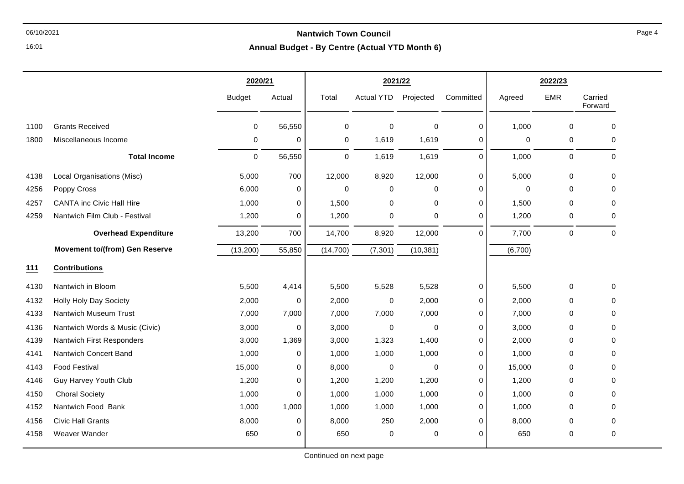### 06/10/2021 **Nantwich Town Council**

**Annual Budget - By Centre (Actual YTD Month 6)**

|      |                                       | 2020/21       |             | 2021/22     |                   |           |             | 2022/23 |             |                    |
|------|---------------------------------------|---------------|-------------|-------------|-------------------|-----------|-------------|---------|-------------|--------------------|
|      |                                       | <b>Budget</b> | Actual      | Total       | <b>Actual YTD</b> | Projected | Committed   | Agreed  | <b>EMR</b>  | Carried<br>Forward |
| 1100 | <b>Grants Received</b>                | 0             | 56,550      | 0           | $\mathbf 0$       | 0         | $\pmb{0}$   | 1,000   | $\mathbf 0$ | 0                  |
| 1800 | Miscellaneous Income                  | 0             | 0           | 0           | 1,619             | 1,619     | 0           | 0       | 0           | 0                  |
|      | <b>Total Income</b>                   | $\mathbf 0$   | 56,550      | $\mathbf 0$ | 1,619             | 1,619     | $\Omega$    | 1,000   | $\mathbf 0$ | $\mathbf 0$        |
| 4138 | Local Organisations (Misc)            | 5,000         | 700         | 12,000      | 8,920             | 12,000    | 0           | 5,000   | $\mathbf 0$ | $\mathbf 0$        |
| 4256 | Poppy Cross                           | 6,000         | 0           | $\Omega$    | 0                 | 0         | $\mathbf 0$ | 0       | $\Omega$    | $\Omega$           |
| 4257 | <b>CANTA inc Civic Hall Hire</b>      | 1,000         | 0           | 1,500       | 0                 | 0         | $\Omega$    | 1,500   | $\mathbf 0$ | 0                  |
| 4259 | Nantwich Film Club - Festival         | 1,200         | 0           | 1,200       | $\mathbf 0$       | 0         | $\Omega$    | 1,200   | 0           | 0                  |
|      | <b>Overhead Expenditure</b>           | 13,200        | 700         | 14,700      | 8,920             | 12,000    | $\Omega$    | 7,700   | $\pmb{0}$   | $\pmb{0}$          |
|      | <b>Movement to/(from) Gen Reserve</b> | (13, 200)     | 55,850      | (14, 700)   | (7, 301)          | (10, 381) |             | (6,700) |             |                    |
| 111  | <b>Contributions</b>                  |               |             |             |                   |           |             |         |             |                    |
| 4130 | Nantwich in Bloom                     | 5,500         | 4,414       | 5,500       | 5,528             | 5,528     | 0           | 5,500   | $\mathbf 0$ | 0                  |
| 4132 | <b>Holly Holy Day Society</b>         | 2,000         | 0           | 2,000       | $\mathbf 0$       | 2,000     | $\mathbf 0$ | 2,000   | $\Omega$    | 0                  |
| 4133 | Nantwich Museum Trust                 | 7,000         | 7,000       | 7,000       | 7,000             | 7,000     | $\mathbf 0$ | 7,000   | 0           | $\mathbf 0$        |
| 4136 | Nantwich Words & Music (Civic)        | 3,000         | 0           | 3,000       | $\mathbf 0$       | 0         | $\mathbf 0$ | 3,000   | $\Omega$    | 0                  |
| 4139 | Nantwich First Responders             | 3,000         | 1,369       | 3,000       | 1,323             | 1,400     | $\mathbf 0$ | 2,000   | 0           | $\Omega$           |
| 4141 | Nantwich Concert Band                 | 1,000         | 0           | 1,000       | 1,000             | 1,000     | $\mathbf 0$ | 1,000   | $\Omega$    | 0                  |
| 4143 | <b>Food Festival</b>                  | 15,000        | 0           | 8,000       | $\pmb{0}$         | 0         | 0           | 15,000  | 0           | 0                  |
| 4146 | <b>Guy Harvey Youth Club</b>          | 1,200         | 0           | 1,200       | 1,200             | 1,200     | 0           | 1,200   | $\Omega$    | 0                  |
| 4150 | <b>Choral Society</b>                 | 1,000         | $\mathbf 0$ | 1,000       | 1,000             | 1,000     | $\mathbf 0$ | 1,000   | $\Omega$    | 0                  |
| 4152 | Nantwich Food Bank                    | 1,000         | 1,000       | 1,000       | 1,000             | 1,000     | $\mathbf 0$ | 1,000   | $\Omega$    | $\Omega$           |
| 4156 | <b>Civic Hall Grants</b>              | 8,000         | 0           | 8,000       | 250               | 2,000     | $\mathbf 0$ | 8,000   | 0           | $\Omega$           |
| 4158 | Weaver Wander                         | 650           | 0           | 650         | 0                 | 0         | 0           | 650     | 0           | 0                  |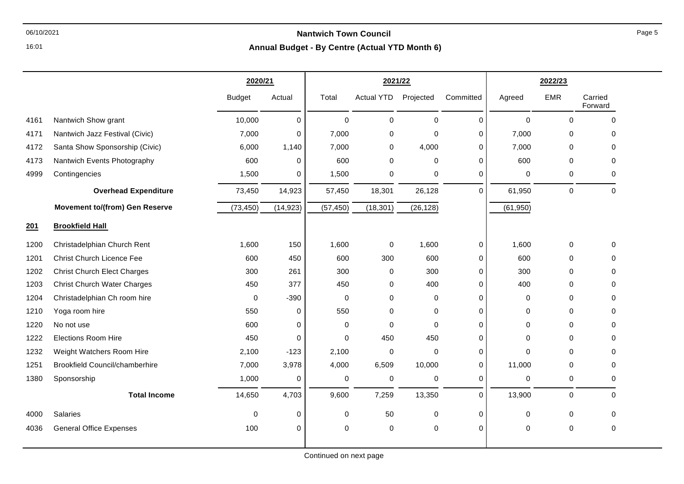## 06/10/2021 **Nantwich Town Council**

**Annual Budget - By Centre (Actual YTD Month 6)**

|      |                                       | 2020/21       |             | 2021/22     |                   |             |             | 2022/23      |             |                    |
|------|---------------------------------------|---------------|-------------|-------------|-------------------|-------------|-------------|--------------|-------------|--------------------|
|      |                                       | <b>Budget</b> | Actual      | Total       | <b>Actual YTD</b> | Projected   | Committed   | Agreed       | <b>EMR</b>  | Carried<br>Forward |
| 4161 | Nantwich Show grant                   | 10,000        | $\pmb{0}$   | $\mathbf 0$ | 0                 | $\mathbf 0$ | $\mathbf 0$ | $\mathbf 0$  | $\mathbf 0$ | $\Omega$           |
| 4171 | Nantwich Jazz Festival (Civic)        | 7,000         | 0           | 7,000       | $\mathbf 0$       | 0           | 0           | 7,000        | $\mathbf 0$ | 0                  |
| 4172 | Santa Show Sponsorship (Civic)        | 6,000         | 1,140       | 7,000       | 0                 | 4,000       | $\mathbf 0$ | 7,000        | 0           | $\Omega$           |
| 4173 | Nantwich Events Photography           | 600           | $\mathbf 0$ | 600         | 0                 | 0           | $\mathbf 0$ | 600          | $\mathbf 0$ | $\Omega$           |
| 4999 | Contingencies                         | 1,500         | 0           | 1,500       | $\pmb{0}$         | 0           | $\mathbf 0$ | 0            | 0           | 0                  |
|      | <b>Overhead Expenditure</b>           | 73,450        | 14,923      | 57,450      | 18,301            | 26,128      | 0           | 61,950       | $\pmb{0}$   | $\mathbf 0$        |
|      | <b>Movement to/(from) Gen Reserve</b> | (73, 450)     | (14, 923)   | (57, 450)   | (18, 301)         | (26, 128)   |             | (61, 950)    |             |                    |
| 201  | <b>Brookfield Hall</b>                |               |             |             |                   |             |             |              |             |                    |
| 1200 | Christadelphian Church Rent           | 1,600         | 150         | 1,600       | 0                 | 1,600       | $\mathbf 0$ | 1,600        | 0           | $\Omega$           |
| 1201 | <b>Christ Church Licence Fee</b>      | 600           | 450         | 600         | 300               | 600         | $\mathbf 0$ | 600          | $\pmb{0}$   | 0                  |
| 1202 | <b>Christ Church Elect Charges</b>    | 300           | 261         | 300         | $\mathbf 0$       | 300         | $\mathbf 0$ | 300          | $\mathbf 0$ | $\Omega$           |
| 1203 | <b>Christ Church Water Charges</b>    | 450           | 377         | 450         | 0                 | 400         | $\Omega$    | 400          | 0           | 0                  |
| 1204 | Christadelphian Ch room hire          | 0             | $-390$      | $\mathbf 0$ | $\pmb{0}$         | 0           | 0           | 0            | $\pmb{0}$   | 0                  |
| 1210 | Yoga room hire                        | 550           | $\pmb{0}$   | 550         | 0                 | 0           | $\mathbf 0$ | $\mathbf 0$  | $\mathbf 0$ | $\Omega$           |
| 1220 | No not use                            | 600           | 0           | 0           | $\mathbf 0$       | $\Omega$    | $\Omega$    | $\mathbf 0$  | $\Omega$    | 0                  |
| 1222 | <b>Elections Room Hire</b>            | 450           | $\mathbf 0$ | 0           | 450               | 450         | $\mathbf 0$ | $\mathbf 0$  | $\mathbf 0$ | $\Omega$           |
| 1232 | Weight Watchers Room Hire             | 2,100         | $-123$      | 2,100       | $\mathbf 0$       | $\mathbf 0$ | $\mathbf 0$ | $\mathbf{0}$ | $\Omega$    | $\Omega$           |
| 1251 | <b>Brookfield Council/chamberhire</b> | 7,000         | 3,978       | 4,000       | 6,509             | 10,000      | $\mathbf 0$ | 11,000       | $\mathbf 0$ | 0                  |
| 1380 | Sponsorship                           | 1,000         | $\mathbf 0$ | 0           | $\pmb{0}$         | 0           | $\mathbf 0$ | $\mathbf 0$  | $\,0\,$     | 0                  |
|      | <b>Total Income</b>                   | 14,650        | 4,703       | 9,600       | 7,259             | 13,350      | $\Omega$    | 13,900       | $\mathbf 0$ | $\Omega$           |
| 4000 | Salaries                              | 0             | $\mathbf 0$ | 0           | 50                | 0           | $\mathbf 0$ | 0            | $\pmb{0}$   | $\mathbf 0$        |
| 4036 | <b>General Office Expenses</b>        | 100           | $\pmb{0}$   | 0           | $\pmb{0}$         | 0           | $\mathbf 0$ | $\mathbf 0$  | $\pmb{0}$   | $\mathbf 0$        |
|      |                                       |               |             |             |                   |             |             |              |             |                    |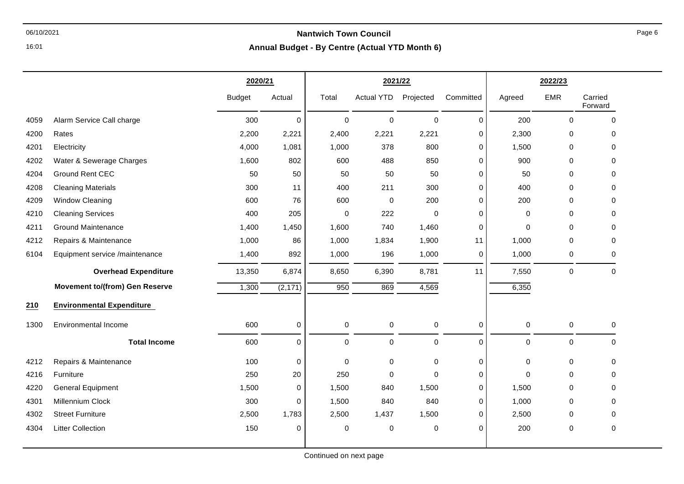# 06/10/2021 **Nantwich Town Council**

**Annual Budget - By Centre (Actual YTD Month 6)**

|      |                                       | 2020/21       |             |                  | 2021/22           |             |             |        | 2022/23     |                    |
|------|---------------------------------------|---------------|-------------|------------------|-------------------|-------------|-------------|--------|-------------|--------------------|
|      |                                       | <b>Budget</b> | Actual      | Total            | <b>Actual YTD</b> | Projected   | Committed   | Agreed | <b>EMR</b>  | Carried<br>Forward |
| 4059 | Alarm Service Call charge             | 300           | $\Omega$    | $\mathbf 0$      | $\Omega$          | $\mathbf 0$ | 0           | 200    | $\mathbf 0$ | $\mathbf{0}$       |
| 4200 | Rates                                 | 2,200         | 2,221       | 2,400            | 2,221             | 2,221       | 0           | 2,300  | 0           | 0                  |
| 4201 | Electricity                           | 4,000         | 1,081       | 1,000            | 378               | 800         | $\mathbf 0$ | 1,500  | $\mathbf 0$ | 0                  |
| 4202 | Water & Sewerage Charges              | 1,600         | 802         | 600              | 488               | 850         | 0           | 900    | $\Omega$    | 0                  |
| 4204 | <b>Ground Rent CEC</b>                | 50            | 50          | 50               | 50                | 50          | 0           | 50     | $\mathbf 0$ | 0                  |
| 4208 | <b>Cleaning Materials</b>             | 300           | 11          | 400              | 211               | 300         | $\mathbf 0$ | 400    | $\mathbf 0$ | 0                  |
| 4209 | <b>Window Cleaning</b>                | 600           | 76          | 600              | $\Omega$          | 200         | $\mathbf 0$ | 200    | $\Omega$    | 0                  |
| 4210 | <b>Cleaning Services</b>              | 400           | 205         | $\mathbf 0$      | 222               | $\mathbf 0$ | 0           | 0      | 0           | 0                  |
| 4211 | <b>Ground Maintenance</b>             | 1,400         | 1,450       | 1,600            | 740               | 1,460       | $\mathbf 0$ | 0      | $\mathbf 0$ | 0                  |
| 4212 | Repairs & Maintenance                 | 1,000         | 86          | 1,000            | 1,834             | 1,900       | 11          | 1,000  | $\mathbf 0$ | 0                  |
| 6104 | Equipment service /maintenance        | 1,400         | 892         | 1,000            | 196               | 1,000       | 0           | 1,000  | 0           | 0                  |
|      | <b>Overhead Expenditure</b>           | 13,350        | 6,874       | 8,650            | 6,390             | 8,781       | 11          | 7,550  | $\pmb{0}$   | $\mathbf 0$        |
|      | <b>Movement to/(from) Gen Reserve</b> | 1,300         | (2, 171)    | $\overline{950}$ | 869               | 4,569       |             | 6,350  |             |                    |
| 210  | <b>Environmental Expenditure</b>      |               |             |                  |                   |             |             |        |             |                    |
| 1300 | <b>Environmental Income</b>           | 600           | $\mathbf 0$ | $\mathbf 0$      | $\mathbf 0$       | $\pmb{0}$   | $\mathbf 0$ | 0      | $\pmb{0}$   | 0                  |
|      | <b>Total Income</b>                   | 600           | 0           | $\mathbf 0$      | 0                 | $\pmb{0}$   | $\Omega$    | 0      | $\pmb{0}$   | $\Omega$           |
| 4212 | Repairs & Maintenance                 | 100           | $\mathbf 0$ | $\mathbf 0$      | $\Omega$          | $\mathbf 0$ | $\mathbf 0$ | 0      | $\mathbf 0$ | 0                  |
| 4216 | Furniture                             | 250           | 20          | 250              | 0                 | $\pmb{0}$   | $\mathbf 0$ | 0      | $\mathbf 0$ | 0                  |
| 4220 | <b>General Equipment</b>              | 1,500         | 0           | 1,500            | 840               | 1,500       | 0           | 1,500  | 0           | 0                  |
| 4301 | Millennium Clock                      | 300           | 0           | 1,500            | 840               | 840         | $\Omega$    | 1,000  | 0           | 0                  |
| 4302 | <b>Street Furniture</b>               | 2,500         | 1,783       | 2,500            | 1,437             | 1,500       | 0           | 2,500  | 0           | 0                  |
| 4304 | <b>Litter Collection</b>              | 150           | 0           | $\mathbf 0$      | $\pmb{0}$         | 0           | $\mathbf 0$ | 200    | $\mathbf 0$ | 0                  |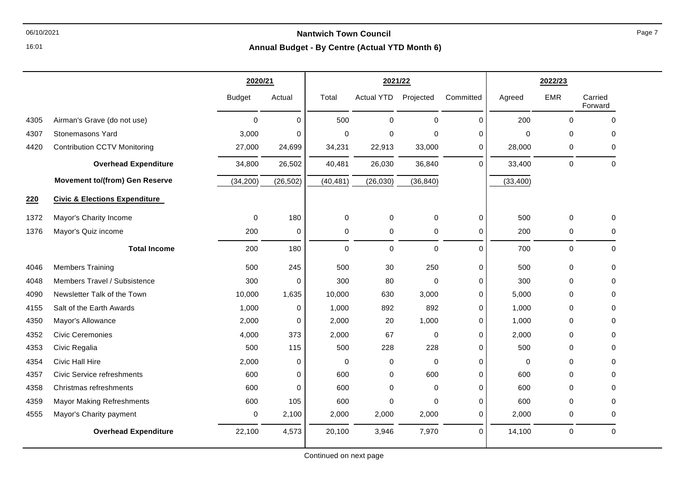**Annual Budget - By Centre (Actual YTD Month 6)**

|      |                                          | 2020/21       |           | 2021/22     |                   |             |             | 2022/23     |            |                    |
|------|------------------------------------------|---------------|-----------|-------------|-------------------|-------------|-------------|-------------|------------|--------------------|
|      |                                          | <b>Budget</b> | Actual    | Total       | <b>Actual YTD</b> | Projected   | Committed   | Agreed      | <b>EMR</b> | Carried<br>Forward |
| 4305 | Airman's Grave (do not use)              | $\mathbf 0$   | 0         | 500         | $\mathbf 0$       | $\mathbf 0$ | $\mathbf 0$ | 200         | 0          | $\mathbf 0$        |
| 4307 | Stonemasons Yard                         | 3,000         | 0         | $\mathbf 0$ | 0                 | $\Omega$    | $\pmb{0}$   | $\mathbf 0$ | 0          | $\mathbf 0$        |
| 4420 | <b>Contribution CCTV Monitoring</b>      | 27,000        | 24,699    | 34,231      | 22,913            | 33,000      | $\mathbf 0$ | 28,000      | 0          | 0                  |
|      | <b>Overhead Expenditure</b>              | 34,800        | 26,502    | 40,481      | 26,030            | 36,840      | $\mathbf 0$ | 33,400      | 0          | 0                  |
|      | <b>Movement to/(from) Gen Reserve</b>    | (34, 200)     | (26, 502) | (40, 481)   | (26, 030)         | (36, 840)   |             | (33, 400)   |            |                    |
| 220  | <b>Civic &amp; Elections Expenditure</b> |               |           |             |                   |             |             |             |            |                    |
| 1372 | Mayor's Charity Income                   | $\mathbf 0$   | 180       | 0           | 0                 | $\mathbf 0$ | 0           | 500         | 0          | 0                  |
| 1376 | Mayor's Quiz income                      | 200           | 0         | 0           | 0                 | 0           | $\mathbf 0$ | 200         | 0          | 0                  |
|      | <b>Total Income</b>                      | 200           | 180       | $\Omega$    | 0                 | $\mathbf 0$ | $\Omega$    | 700         | 0          | 0                  |
| 4046 | <b>Members Training</b>                  | 500           | 245       | 500         | 30                | 250         | $\pmb{0}$   | 500         | 0          | 0                  |
| 4048 | Members Travel / Subsistence             | 300           | 0         | 300         | 80                | $\Omega$    | $\mathbf 0$ | 300         | 0          | 0                  |
| 4090 | Newsletter Talk of the Town              | 10,000        | 1,635     | 10,000      | 630               | 3,000       | $\pmb{0}$   | 5,000       | 0          | 0                  |
| 4155 | Salt of the Earth Awards                 | 1,000         | 0         | 1,000       | 892               | 892         | $\pmb{0}$   | 1,000       | 0          | 0                  |
| 4350 | Mayor's Allowance                        | 2,000         | 0         | 2,000       | 20                | 1,000       | $\pmb{0}$   | 1,000       | 0          | $\mathbf 0$        |
| 4352 | <b>Civic Ceremonies</b>                  | 4,000         | 373       | 2,000       | 67                | $\Omega$    | $\mathbf 0$ | 2,000       | 0          | 0                  |
| 4353 | Civic Regalia                            | 500           | 115       | 500         | 228               | 228         | $\mathbf 0$ | 500         | 0          | 0                  |
| 4354 | Civic Hall Hire                          | 2,000         | 0         | 0           | 0                 | $\Omega$    | $\mathbf 0$ | $\Omega$    | 0          | $\Omega$           |
| 4357 | <b>Civic Service refreshments</b>        | 600           | 0         | 600         | 0                 | 600         | 0           | 600         | $\Omega$   | $\Omega$           |
| 4358 | Christmas refreshments                   | 600           | 0         | 600         | 0                 | 0           | $\mathbf 0$ | 600         | 0          | 0                  |
| 4359 | <b>Mayor Making Refreshments</b>         | 600           | 105       | 600         | 0                 | $\Omega$    | $\pmb{0}$   | 600         | 0          | $\mathbf 0$        |
| 4555 | Mayor's Charity payment                  | 0             | 2,100     | 2,000       | 2,000             | 2,000       | $\mathbf 0$ | 2,000       | 0          | $\mathbf 0$        |
|      | <b>Overhead Expenditure</b>              | 22,100        | 4,573     | 20,100      | 3,946             | 7,970       | $\Omega$    | 14,100      | 0          | $\mathbf 0$        |

16:01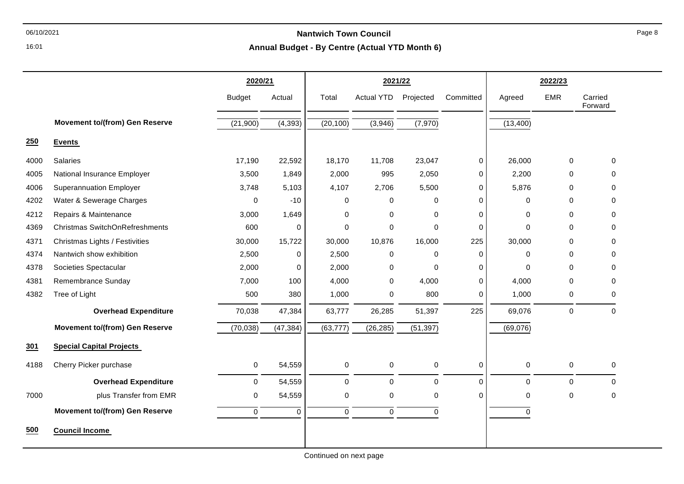### 06/10/2021 **Nantwich Town Council**

#### **Annual Budget - By Centre (Actual YTD Month 6)**

|      |                                       | 2020/21       |           | 2021/22     |                   |             |             | 2022/23     |            |                    |
|------|---------------------------------------|---------------|-----------|-------------|-------------------|-------------|-------------|-------------|------------|--------------------|
|      |                                       | <b>Budget</b> | Actual    | Total       | <b>Actual YTD</b> | Projected   | Committed   | Agreed      | <b>EMR</b> | Carried<br>Forward |
|      | <b>Movement to/(from) Gen Reserve</b> | (21,900)      | (4, 393)  | (20, 100)   | (3,946)           | (7, 970)    |             | (13,400)    |            |                    |
| 250  | <b>Events</b>                         |               |           |             |                   |             |             |             |            |                    |
| 4000 | Salaries                              | 17,190        | 22,592    | 18,170      | 11,708            | 23,047      | 0           | 26,000      | 0          | 0                  |
| 4005 | National Insurance Employer           | 3,500         | 1,849     | 2,000       | 995               | 2,050       | $\mathbf 0$ | 2,200       | $\Omega$   | 0                  |
| 4006 | <b>Superannuation Employer</b>        | 3,748         | 5,103     | 4,107       | 2,706             | 5,500       | $\mathbf 0$ | 5,876       | 0          | $\Omega$           |
| 4202 | Water & Sewerage Charges              | $\Omega$      | $-10$     | 0           | 0                 | 0           | $\mathbf 0$ | $\Omega$    | $\Omega$   | $\Omega$           |
| 4212 | Repairs & Maintenance                 | 3,000         | 1,649     | 0           | 0                 | $\mathbf 0$ | 0           | $\mathbf 0$ | 0          | 0                  |
| 4369 | Christmas SwitchOnRefreshments        | 600           | 0         | $\mathbf 0$ | 0                 | $\mathbf 0$ | $\mathbf 0$ | $\Omega$    | 0          | 0                  |
| 4371 | Christmas Lights / Festivities        | 30,000        | 15,722    | 30,000      | 10,876            | 16,000      | 225         | 30,000      | 0          | $\Omega$           |
| 4374 | Nantwich show exhibition              | 2,500         | 0         | 2,500       | $\pmb{0}$         | $\mathbf 0$ | $\mathbf 0$ | $\mathbf 0$ | 0          | $\Omega$           |
| 4378 | Societies Spectacular                 | 2,000         | 0         | 2,000       | $\pmb{0}$         | $\mathbf 0$ | $\mathbf 0$ | $\Omega$    | 0          | 0                  |
| 4381 | Remembrance Sunday                    | 7,000         | 100       | 4,000       | $\mathbf 0$       | 4,000       | $\mathbf 0$ | 4,000       | $\Omega$   | 0                  |
| 4382 | Tree of Light                         | 500           | 380       | 1,000       | 0                 | 800         | 0           | 1,000       | 0          | $\Omega$           |
|      | <b>Overhead Expenditure</b>           | 70,038        | 47,384    | 63,777      | 26,285            | 51,397      | 225         | 69,076      | 0          | $\mathbf 0$        |
|      | <b>Movement to/(from) Gen Reserve</b> | (70, 038)     | (47, 384) | (63, 777)   | (26, 285)         | (51, 397)   |             | (69,076)    |            |                    |
| 301  | <b>Special Capital Projects</b>       |               |           |             |                   |             |             |             |            |                    |
| 4188 | Cherry Picker purchase                | 0             | 54,559    | $\mathbf 0$ | $\pmb{0}$         | $\mathbf 0$ | $\mathbf 0$ | $\mathbf 0$ | 0          | 0                  |
|      | <b>Overhead Expenditure</b>           | 0             | 54,559    | $\mathbf 0$ | $\pmb{0}$         | $\mathbf 0$ | $\Omega$    | $\mathbf 0$ | 0          | $\Omega$           |
| 7000 | plus Transfer from EMR                | 0             | 54,559    | $\mathbf 0$ | $\pmb{0}$         | 0           | $\Omega$    | $\Omega$    | 0          | $\Omega$           |
|      | <b>Movement to/(from) Gen Reserve</b> | $\mathbf 0$   | 0         | $\mathbf 0$ | $\pmb{0}$         | $\pmb{0}$   |             | $\mathbf 0$ |            |                    |
| 500  | <b>Council Income</b>                 |               |           |             |                   |             |             |             |            |                    |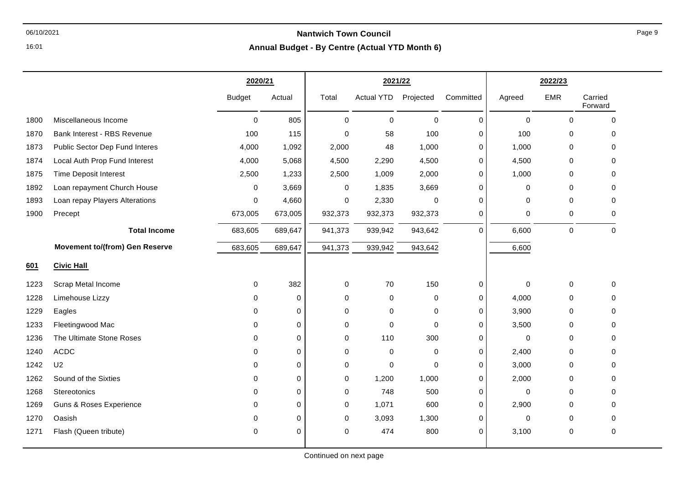# 06/10/2021 **Nantwich Town Council**

**Annual Budget - By Centre (Actual YTD Month 6)**

|      |                                       | 2020/21       |             |             | 2021/22    |             |             |             | 2022/23     |                    |
|------|---------------------------------------|---------------|-------------|-------------|------------|-------------|-------------|-------------|-------------|--------------------|
|      |                                       | <b>Budget</b> | Actual      | Total       | Actual YTD | Projected   | Committed   | Agreed      | <b>EMR</b>  | Carried<br>Forward |
| 1800 | Miscellaneous Income                  | $\mathbf 0$   | 805         | $\mathbf 0$ | $\Omega$   | $\mathbf 0$ | $\mathbf 0$ | $\mathbf 0$ | $\Omega$    | $\Omega$           |
| 1870 | Bank Interest - RBS Revenue           | 100           | 115         | $\Omega$    | 58         | 100         | 0           | 100         | 0           | $\mathbf{0}$       |
| 1873 | Public Sector Dep Fund Interes        | 4,000         | 1,092       | 2,000       | 48         | 1,000       | 0           | 1,000       | 0           | $\Omega$           |
| 1874 | Local Auth Prop Fund Interest         | 4,000         | 5,068       | 4,500       | 2,290      | 4,500       | 0           | 4,500       | 0           | $\mathbf{0}$       |
| 1875 | <b>Time Deposit Interest</b>          | 2,500         | 1,233       | 2,500       | 1,009      | 2,000       | 0           | 1,000       | $\mathbf 0$ | $\mathbf{0}$       |
| 1892 | Loan repayment Church House           | 0             | 3,669       | 0           | 1,835      | 3,669       | 0           | 0           | 0           | 0                  |
| 1893 | Loan repay Players Alterations        | 0             | 4,660       | 0           | 2,330      | $\Omega$    | 0           | 0           | $\Omega$    | $\mathbf{0}$       |
| 1900 | Precept                               | 673,005       | 673,005     | 932,373     | 932,373    | 932,373     | 0           | 0           | 0           | 0                  |
|      | <b>Total Income</b>                   | 683,605       | 689,647     | 941,373     | 939,942    | 943,642     | $\mathbf 0$ | 6,600       | 0           | $\mathbf 0$        |
|      | <b>Movement to/(from) Gen Reserve</b> | 683,605       | 689,647     | 941,373     | 939,942    | 943,642     |             | 6,600       |             |                    |
| 601  | <b>Civic Hall</b>                     |               |             |             |            |             |             |             |             |                    |
| 1223 | Scrap Metal Income                    | 0             | 382         | 0           | 70         | 150         | $\,0\,$     | $\pmb{0}$   | 0           | $\mathbf 0$        |
| 1228 | Limehouse Lizzy                       | $\Omega$      | $\mathbf 0$ | 0           | 0          | 0           | $\mathbf 0$ | 4,000       | 0           | 0                  |
| 1229 | Eagles                                | $\Omega$      | $\mathbf 0$ | $\Omega$    | 0          | 0           | 0           | 3,900       | $\mathbf 0$ | $\mathbf{0}$       |
| 1233 | Fleetingwood Mac                      | $\Omega$      | 0           | 0           | 0          | $\mathbf 0$ | 0           | 3,500       | 0           | $\mathbf{0}$       |
| 1236 | The Ultimate Stone Roses              | $\mathbf 0$   | 0           | 0           | 110        | 300         | 0           | $\mathbf 0$ | 0           | $\mathbf 0$        |
| 1240 | <b>ACDC</b>                           | $\Omega$      | 0           | 0           | 0          | 0           | 0           | 2,400       | 0           | $\mathbf{0}$       |
| 1242 | U <sub>2</sub>                        | $\Omega$      | 0           | $\Omega$    | $\Omega$   | $\Omega$    | 0           | 3,000       | $\Omega$    | $\Omega$           |
| 1262 | Sound of the Sixties                  | $\Omega$      | $\mathbf 0$ | 0           | 1,200      | 1,000       | $\Omega$    | 2,000       | 0           | $\Omega$           |
| 1268 | Stereotonics                          | $\Omega$      | 0           | 0           | 748        | 500         | $\pmb{0}$   | $\mathbf 0$ | $\mathbf 0$ | $\mathbf{0}$       |
| 1269 | <b>Guns &amp; Roses Experience</b>    | $\Omega$      | $\mathbf 0$ | 0           | 1,071      | 600         | 0           | 2,900       | 0           | $\mathbf{0}$       |
| 1270 | Oasish                                | 0             | 0           | 0           | 3,093      | 1,300       | 0           | 0           | 0           | 0                  |
| 1271 | Flash (Queen tribute)                 | 0             | 0           | 0           | 474        | 800         | $\Omega$    | 3,100       | 0           | 0                  |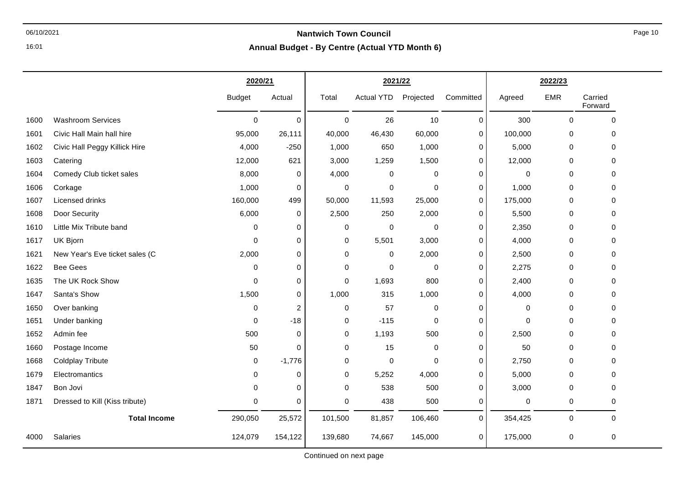## 06/10/2021 **Nantwich Town Council**

**Annual Budget - By Centre (Actual YTD Month 6)**

|      |                                | 2020/21       |                |             | 2021/22           |             |             |         | 2022/23     |                    |
|------|--------------------------------|---------------|----------------|-------------|-------------------|-------------|-------------|---------|-------------|--------------------|
|      |                                | <b>Budget</b> | Actual         | Total       | <b>Actual YTD</b> | Projected   | Committed   | Agreed  | <b>EMR</b>  | Carried<br>Forward |
| 1600 | <b>Washroom Services</b>       | 0             | $\mathbf 0$    | $\mathbf 0$ | 26                | 10          | 0           | 300     | $\mathbf 0$ | $\mathbf 0$        |
| 1601 | Civic Hall Main hall hire      | 95,000        | 26,111         | 40,000      | 46,430            | 60,000      | 0           | 100,000 | 0           | 0                  |
| 1602 | Civic Hall Peggy Killick Hire  | 4,000         | $-250$         | 1,000       | 650               | 1,000       | 0           | 5,000   | 0           | $\mathbf 0$        |
| 1603 | Catering                       | 12,000        | 621            | 3,000       | 1,259             | 1,500       | $\mathbf 0$ | 12,000  | 0           | $\mathbf 0$        |
| 1604 | Comedy Club ticket sales       | 8,000         | 0              | 4,000       | 0                 | 0           | $\mathbf 0$ | 0       | 0           | 0                  |
| 1606 | Corkage                        | 1,000         | 0              | $\pmb{0}$   | $\mathbf 0$       | $\mathbf 0$ | 0           | 1,000   | $\pmb{0}$   | $\mathbf 0$        |
| 1607 | Licensed drinks                | 160,000       | 499            | 50,000      | 11,593            | 25,000      | $\mathbf 0$ | 175,000 | 0           | $\mathbf 0$        |
| 1608 | Door Security                  | 6,000         | 0              | 2,500       | 250               | 2,000       | 0           | 5,500   | 0           | 0                  |
| 1610 | Little Mix Tribute band        | 0             | $\mathbf 0$    | 0           | $\mathbf 0$       | 0           | 0           | 2,350   | 0           | $\Omega$           |
| 1617 | UK Bjorn                       | $\mathbf 0$   | $\mathbf 0$    | 0           | 5,501             | 3,000       | $\mathbf 0$ | 4,000   | $\mathbf 0$ | $\mathbf 0$        |
| 1621 | New Year's Eve ticket sales (C | 2,000         | $\mathbf 0$    | 0           | 0                 | 2,000       | 0           | 2,500   | 0           | $\Omega$           |
| 1622 | <b>Bee Gees</b>                | 0             | $\mathbf 0$    | 0           | $\mathbf 0$       | 0           | $\mathbf 0$ | 2,275   | 0           | $\Omega$           |
| 1635 | The UK Rock Show               | $\Omega$      | $\mathbf 0$    | 0           | 1,693             | 800         | $\mathbf 0$ | 2,400   | 0           | $\mathbf 0$        |
| 1647 | Santa's Show                   | 1,500         | $\mathbf 0$    | 1,000       | 315               | 1,000       | 0           | 4,000   | 0           | $\Omega$           |
| 1650 | Over banking                   | 0             | $\overline{c}$ | $\pmb{0}$   | 57                | 0           | 0           | 0       | $\,0\,$     | 0                  |
| 1651 | Under banking                  | 0             | $-18$          | 0           | $-115$            | 0           | 0           | 0       | 0           | $\mathbf 0$        |
| 1652 | Admin fee                      | 500           | $\mathbf 0$    | 0           | 1,193             | 500         | 0           | 2,500   | 0           | 0                  |
| 1660 | Postage Income                 | 50            | $\mathbf 0$    | $\mathbf 0$ | 15                | $\pmb{0}$   | 0           | 50      | $\,0\,$     | 0                  |
| 1668 | <b>Coldplay Tribute</b>        | $\mathbf 0$   | $-1,776$       | $\mathbf 0$ | $\mathbf 0$       | $\mathbf 0$ | $\mathbf 0$ | 2,750   | 0           | $\mathbf 0$        |
| 1679 | Electromantics                 | 0             | $\mathbf 0$    | 0           | 5,252             | 4,000       | 0           | 5,000   | 0           | $\mathbf 0$        |
| 1847 | Bon Jovi                       | $\mathbf 0$   | $\mathbf 0$    | $\mathbf 0$ | 538               | 500         | $\pmb{0}$   | 3,000   | $\pmb{0}$   | 0                  |
| 1871 | Dressed to Kill (Kiss tribute) | 0             | $\mathbf 0$    | 0           | 438               | 500         | 0           | 0       | 0           | 0                  |
|      | <b>Total Income</b>            | 290,050       | 25,572         | 101,500     | 81,857            | 106,460     | $\Omega$    | 354,425 | $\mathbf 0$ | $\mathbf 0$        |
| 4000 | Salaries                       | 124,079       | 154,122        | 139,680     | 74,667            | 145,000     | 0           | 175,000 | 0           | $\mathbf 0$        |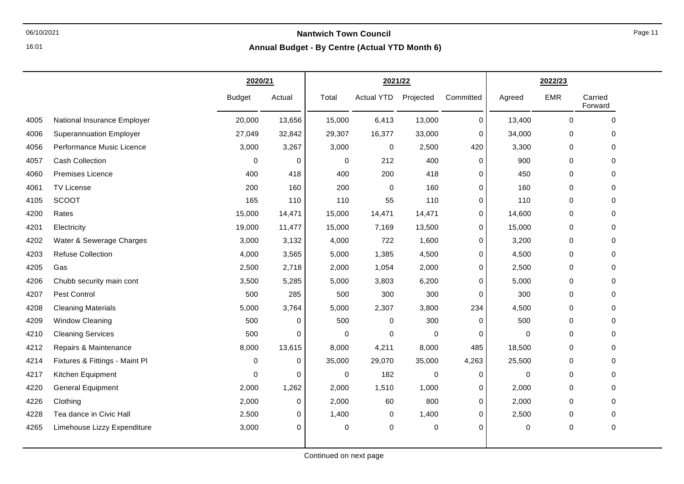**Annual Budget - By Centre (Actual YTD Month 6)**

|      |                                | 2020/21       |             |             | 2021/22           |           |             |        | 2022/23     |                    |
|------|--------------------------------|---------------|-------------|-------------|-------------------|-----------|-------------|--------|-------------|--------------------|
|      |                                | <b>Budget</b> | Actual      | Total       | <b>Actual YTD</b> | Projected | Committed   | Agreed | <b>EMR</b>  | Carried<br>Forward |
| 4005 | National Insurance Employer    | 20,000        | 13,656      | 15,000      | 6,413             | 13,000    | 0           | 13,400 | $\Omega$    | 0                  |
| 4006 | <b>Superannuation Employer</b> | 27,049        | 32,842      | 29,307      | 16,377            | 33,000    | $\mathbf 0$ | 34,000 | $\pmb{0}$   | 0                  |
| 4056 | Performance Music Licence      | 3,000         | 3,267       | 3,000       | 0                 | 2,500     | 420         | 3,300  | 0           | 0                  |
| 4057 | Cash Collection                | 0             | 0           | $\mathbf 0$ | 212               | 400       | $\mathbf 0$ | 900    | $\mathbf 0$ | 0                  |
| 4060 | <b>Premises Licence</b>        | 400           | 418         | 400         | 200               | 418       | $\mathbf 0$ | 450    | 0           | 0                  |
| 4061 | TV License                     | 200           | 160         | 200         | $\mathbf 0$       | 160       | 0           | 160    | $\pmb{0}$   | 0                  |
| 4105 | <b>SCOOT</b>                   | 165           | 110         | 110         | 55                | 110       | 0           | 110    | $\pmb{0}$   | 0                  |
| 4200 | Rates                          | 15,000        | 14,471      | 15,000      | 14,471            | 14,471    | $\mathbf 0$ | 14,600 | $\,0\,$     | 0                  |
| 4201 | Electricity                    | 19,000        | 11,477      | 15,000      | 7,169             | 13,500    | 0           | 15,000 | $\pmb{0}$   | 0                  |
| 4202 | Water & Sewerage Charges       | 3,000         | 3,132       | 4,000       | 722               | 1,600     | 0           | 3,200  | 0           | 0                  |
| 4203 | <b>Refuse Collection</b>       | 4,000         | 3,565       | 5,000       | 1,385             | 4,500     | 0           | 4,500  | 0           | 0                  |
| 4205 | Gas                            | 2,500         | 2,718       | 2,000       | 1,054             | 2,000     | 0           | 2,500  | $\pmb{0}$   | 0                  |
| 4206 | Chubb security main cont       | 3,500         | 5,285       | 5,000       | 3,803             | 6,200     | 0           | 5,000  | 0           | 0                  |
| 4207 | Pest Control                   | 500           | 285         | 500         | 300               | 300       | 0           | 300    | $\pmb{0}$   | 0                  |
| 4208 | <b>Cleaning Materials</b>      | 5,000         | 3,764       | 5,000       | 2,307             | 3,800     | 234         | 4,500  | $\pmb{0}$   | 0                  |
| 4209 | <b>Window Cleaning</b>         | 500           | $\mathbf 0$ | 500         | $\mathbf 0$       | 300       | $\mathbf 0$ | 500    | $\pmb{0}$   | 0                  |
| 4210 | <b>Cleaning Services</b>       | 500           | 0           | 0           | $\mathbf 0$       | 0         | $\mathbf 0$ | 0      | $\pmb{0}$   | 0                  |
| 4212 | Repairs & Maintenance          | 8,000         | 13,615      | 8,000       | 4,211             | 8,000     | 485         | 18,500 | 0           | 0                  |
| 4214 | Fixtures & Fittings - Maint Pl | 0             | $\mathbf 0$ | 35,000      | 29,070            | 35,000    | 4,263       | 25,500 | 0           | 0                  |
| 4217 | Kitchen Equipment              | 0             | $\Omega$    | $\mathbf 0$ | 182               | 0         | $\mathbf 0$ | 0      | $\mathbf 0$ | 0                  |
| 4220 | <b>General Equipment</b>       | 2,000         | 1,262       | 2,000       | 1,510             | 1,000     | 0           | 2,000  | $\pmb{0}$   | 0                  |
| 4226 | Clothing                       | 2,000         | 0           | 2,000       | 60                | 800       | 0           | 2,000  | 0           | 0                  |
| 4228 | Tea dance in Civic Hall        | 2,500         | 0           | 1,400       | 0                 | 1,400     | 0           | 2,500  | $\pmb{0}$   | 0                  |
| 4265 | Limehouse Lizzy Expenditure    | 3,000         | $\mathbf 0$ | 0           | $\mathbf 0$       | 0         | 0           | 0      | $\pmb{0}$   | 0                  |
|      |                                |               |             |             |                   |           |             |        |             |                    |

16:01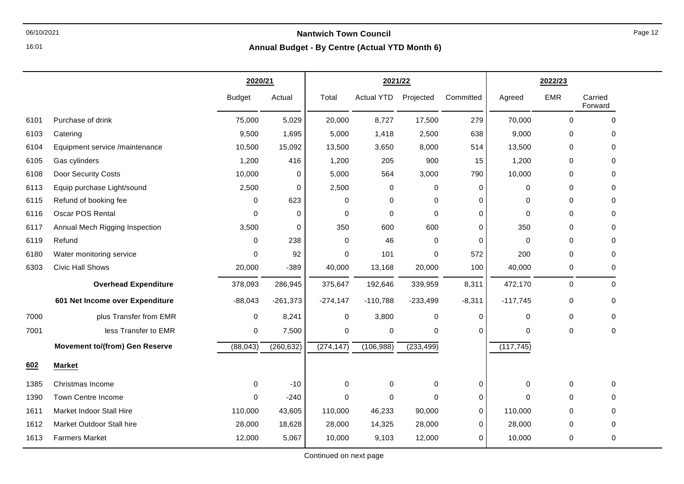#### 06/10/2021 **Nantwich Town Council Annual Budget - By Centre (Actual YTD Month 6)**

|      |                                       | 2020/21       |            | 2021/22    |                   |            |             | 2022/23     |             |                    |
|------|---------------------------------------|---------------|------------|------------|-------------------|------------|-------------|-------------|-------------|--------------------|
|      |                                       | <b>Budget</b> | Actual     | Total      | <b>Actual YTD</b> | Projected  | Committed   | Agreed      | <b>EMR</b>  | Carried<br>Forward |
| 6101 | Purchase of drink                     | 75,000        | 5,029      | 20,000     | 8,727             | 17,500     | 279         | 70,000      | 0           | $\Omega$           |
| 6103 | Catering                              | 9,500         | 1,695      | 5,000      | 1,418             | 2,500      | 638         | 9,000       | 0           | 0                  |
| 6104 | Equipment service /maintenance        | 10,500        | 15,092     | 13,500     | 3,650             | 8,000      | 514         | 13,500      | 0           | 0                  |
| 6105 | Gas cylinders                         | 1,200         | 416        | 1,200      | 205               | 900        | 15          | 1,200       | 0           | $\Omega$           |
| 6108 | Door Security Costs                   | 10,000        | 0          | 5,000      | 564               | 3,000      | 790         | 10,000      | 0           | 0                  |
| 6113 | Equip purchase Light/sound            | 2,500         | 0          | 2,500      | $\mathbf 0$       | 0          | 0           | 0           | $\mathbf 0$ | 0                  |
| 6115 | Refund of booking fee                 | 0             | 623        | $\Omega$   | $\mathbf 0$       | $\Omega$   | $\Omega$    | $\Omega$    | 0           | $\Omega$           |
| 6116 | Oscar POS Rental                      | 0             | 0          | 0          | $\mathbf 0$       | $\Omega$   | 0           | 0           | 0           | 0                  |
| 6117 | Annual Mech Rigging Inspection        | 3,500         | 0          | 350        | 600               | 600        | 0           | 350         | 0           | $\Omega$           |
| 6119 | Refund                                | 0             | 238        | 0          | 46                | $\Omega$   | $\mathbf 0$ | $\mathbf 0$ | 0           | 0                  |
| 6180 | Water monitoring service              | 0             | 92         | 0          | 101               | $\Omega$   | 572         | 200         | 0           | $\Omega$           |
| 6303 | Civic Hall Shows                      | 20,000        | $-389$     | 40,000     | 13,168            | 20,000     | 100         | 40,000      | 0           | 0                  |
|      | <b>Overhead Expenditure</b>           | 378,093       | 286,945    | 375,647    | 192,646           | 339,959    | 8,311       | 472,170     | 0           | $\Omega$           |
|      | 601 Net Income over Expenditure       | $-88,043$     | $-261,373$ | $-274,147$ | $-110,788$        | $-233,499$ | $-8,311$    | $-117,745$  | 0           | 0                  |
| 7000 | plus Transfer from EMR                | 0             | 8,241      | 0          | 3,800             | 0          | 0           | 0           | 0           | 0                  |
| 7001 | less Transfer to EMR                  | 0             | 7,500      | 0          | $\mathbf 0$       | 0          | $\Omega$    | $\Omega$    | $\mathbf 0$ | $\Omega$           |
|      | <b>Movement to/(from) Gen Reserve</b> | (88, 043)     | (260, 632) | (274, 147) | (106, 988)        | (233, 499) |             | (117, 745)  |             |                    |
| 602  | <b>Market</b>                         |               |            |            |                   |            |             |             |             |                    |
| 1385 | Christmas Income                      | 0             | $-10$      | 0          | $\mathbf 0$       | 0          | 0           | 0           | 0           | $\Omega$           |
| 1390 | Town Centre Income                    | 0             | $-240$     | 0          | $\mathbf 0$       | $\Omega$   | 0           | $\Omega$    | 0           | $\Omega$           |
| 1611 | Market Indoor Stall Hire              | 110,000       | 43,605     | 110,000    | 46,233            | 90,000     | 0           | 110,000     | 0           | $\Omega$           |
| 1612 | Market Outdoor Stall hire             | 28,000        | 18,628     | 28,000     | 14,325            | 28,000     | $\Omega$    | 28,000      | 0           | $\Omega$           |
| 1613 | <b>Farmers Market</b>                 | 12,000        | 5,067      | 10,000     | 9,103             | 12,000     | 0           | 10,000      | 0           | $\Omega$           |

Continued on next page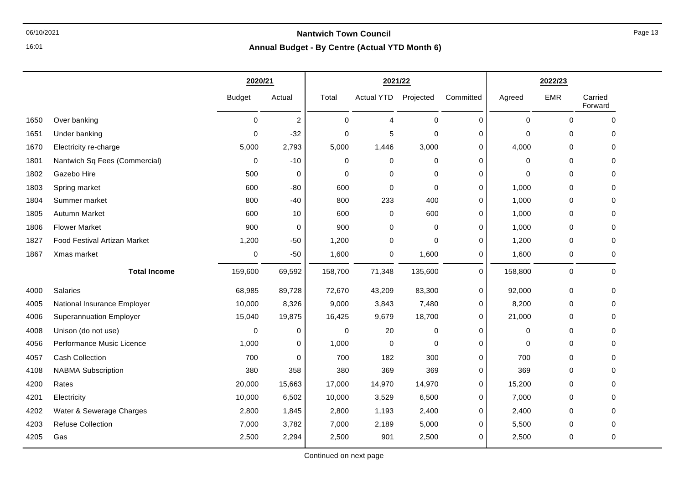## 06/10/2021 **Nantwich Town Council**

**Annual Budget - By Centre (Actual YTD Month 6)**

|      |                                | 2020/21       |                |             |                   | 2021/22   |             | 2022/23     |             |                    |
|------|--------------------------------|---------------|----------------|-------------|-------------------|-----------|-------------|-------------|-------------|--------------------|
|      |                                | <b>Budget</b> | Actual         | Total       | <b>Actual YTD</b> | Projected | Committed   | Agreed      | <b>EMR</b>  | Carried<br>Forward |
| 1650 | Over banking                   | $\mathbf 0$   | $\overline{c}$ | $\Omega$    | 4                 | 0         | $\mathbf 0$ | $\mathbf 0$ | $\mathbf 0$ | $\Omega$           |
| 1651 | Under banking                  | $\mathbf 0$   | $-32$          | $\mathbf 0$ | 5                 | 0         | 0           | $\Omega$    | $\mathbf 0$ | $\Omega$           |
| 1670 | Electricity re-charge          | 5,000         | 2,793          | 5,000       | 1,446             | 3,000     | $\mathbf 0$ | 4,000       | $\pmb{0}$   | $\Omega$           |
| 1801 | Nantwich Sq Fees (Commercial)  | 0             | $-10$          | 0           | $\mathbf 0$       | 0         | 0           | $\mathbf 0$ | 0           | $\mathbf 0$        |
| 1802 | Gazebo Hire                    | 500           | 0              | $\mathbf 0$ | $\mathbf 0$       | 0         | 0           | $\mathbf 0$ | 0           | $\Omega$           |
| 1803 | Spring market                  | 600           | $-80$          | 600         | 0                 | 0         | 0           | 1,000       | 0           | 0                  |
| 1804 | Summer market                  | 800           | $-40$          | 800         | 233               | 400       | 0           | 1,000       | 0           | $\mathbf 0$        |
| 1805 | <b>Autumn Market</b>           | 600           | 10             | 600         | 0                 | 600       | 0           | 1,000       | $\pmb{0}$   | $\mathbf 0$        |
| 1806 | <b>Flower Market</b>           | 900           | 0              | 900         | 0                 | 0         | 0           | 1,000       | 0           | 0                  |
| 1827 | Food Festival Artizan Market   | 1,200         | $-50$          | 1,200       | 0                 | 0         | 0           | 1,200       | 0           | $\mathbf 0$        |
| 1867 | Xmas market                    | 0             | $-50$          | 1,600       | 0                 | 1,600     | 0           | 1,600       | $\pmb{0}$   | $\mathbf 0$        |
|      | <b>Total Income</b>            | 159,600       | 69,592         | 158,700     | 71,348            | 135,600   | $\mathbf 0$ | 158,800     | 0           | $\mathbf 0$        |
| 4000 | Salaries                       | 68,985        | 89,728         | 72,670      | 43,209            | 83,300    | $\mathbf 0$ | 92,000      | $\pmb{0}$   | $\mathbf 0$        |
| 4005 | National Insurance Employer    | 10,000        | 8,326          | 9,000       | 3,843             | 7,480     | 0           | 8,200       | $\pmb{0}$   | $\mathbf 0$        |
| 4006 | <b>Superannuation Employer</b> | 15,040        | 19,875         | 16,425      | 9,679             | 18,700    | 0           | 21,000      | $\pmb{0}$   | $\Omega$           |
| 4008 | Unison (do not use)            | $\pmb{0}$     | 0              | $\mathbf 0$ | 20                | 0         | 0           | $\mathbf 0$ | 0           | $\Omega$           |
| 4056 | Performance Music Licence      | 1,000         | $\mathbf 0$    | 1,000       | $\mathbf 0$       | 0         | 0           | $\mathbf 0$ | 0           | $\Omega$           |
| 4057 | <b>Cash Collection</b>         | 700           | $\mathbf 0$    | 700         | 182               | 300       | $\pmb{0}$   | 700         | $\pmb{0}$   | 0                  |
| 4108 | <b>NABMA Subscription</b>      | 380           | 358            | 380         | 369               | 369       | 0           | 369         | 0           | $\mathbf 0$        |
| 4200 | Rates                          | 20,000        | 15,663         | 17,000      | 14,970            | 14,970    | 0           | 15,200      | 0           | $\Omega$           |
| 4201 | Electricity                    | 10,000        | 6,502          | 10,000      | 3,529             | 6,500     | 0           | 7,000       | 0           | $\mathbf 0$        |
| 4202 | Water & Sewerage Charges       | 2,800         | 1,845          | 2,800       | 1,193             | 2,400     | 0           | 2,400       | $\pmb{0}$   | $\Omega$           |
| 4203 | <b>Refuse Collection</b>       | 7,000         | 3,782          | 7,000       | 2,189             | 5,000     | 0           | 5,500       | $\mathbf 0$ | 0                  |
| 4205 | Gas                            | 2,500         | 2,294          | 2,500       | 901               | 2,500     | 0           | 2,500       | 0           | $\mathbf 0$        |
|      |                                |               |                |             |                   |           |             |             |             |                    |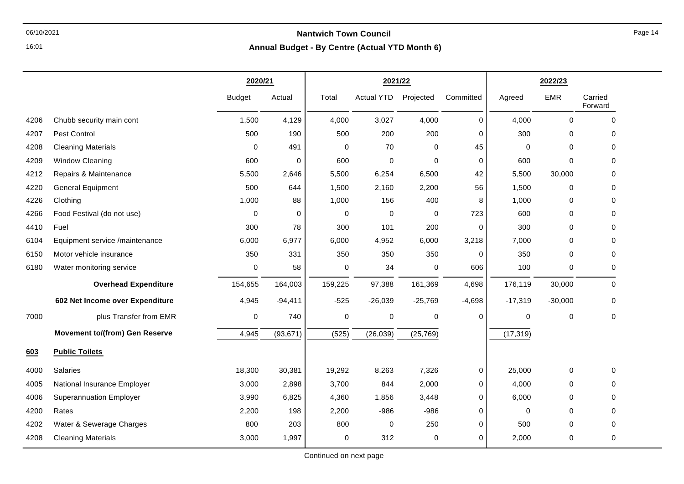**Annual Budget - By Centre (Actual YTD Month 6)**

|      |                                       | 2020/21       |           | 2021/22 |                   |             |             | 2022/23     |             |                     |
|------|---------------------------------------|---------------|-----------|---------|-------------------|-------------|-------------|-------------|-------------|---------------------|
|      |                                       | <b>Budget</b> | Actual    | Total   | <b>Actual YTD</b> | Projected   | Committed   | Agreed      | <b>EMR</b>  | Carried<br>Forward  |
| 4206 | Chubb security main cont              | 1,500         | 4,129     | 4,000   | 3,027             | 4,000       | $\mathbf 0$ | 4,000       | $\mathbf 0$ | $\mathbf 0$         |
| 4207 | Pest Control                          | 500           | 190       | 500     | 200               | 200         | 0           | 300         | 0           | 0                   |
| 4208 | <b>Cleaning Materials</b>             | $\pmb{0}$     | 491       | 0       | 70                | 0           | 45          | $\mathbf 0$ | $\mathbf 0$ | $\mathbf{0}$        |
| 4209 | Window Cleaning                       | 600           | 0         | 600     | 0                 | $\mathbf 0$ | 0           | 600         | $\mathbf 0$ | $\mathbf{0}$        |
| 4212 | Repairs & Maintenance                 | 5,500         | 2,646     | 5,500   | 6,254             | 6,500       | 42          | 5,500       | 30,000      | 0                   |
| 4220 | <b>General Equipment</b>              | 500           | 644       | 1,500   | 2,160             | 2,200       | 56          | 1,500       | 0           | $\mathbf 0$         |
| 4226 | Clothing                              | 1,000         | 88        | 1,000   | 156               | 400         | 8           | 1,000       | 0           | $\mathbf{0}$        |
| 4266 | Food Festival (do not use)            | 0             | 0         | 0       | 0                 | 0           | 723         | 600         | 0           | $\mathbf 0$         |
| 4410 | Fuel                                  | 300           | 78        | 300     | 101               | 200         | 0           | 300         | 0           | $\mathbf 0$         |
| 6104 | Equipment service /maintenance        | 6,000         | 6,977     | 6,000   | 4,952             | 6,000       | 3,218       | 7,000       | 0           | $\mathbf 0$         |
| 6150 | Motor vehicle insurance               | 350           | 331       | 350     | 350               | 350         | 0           | 350         | 0           | $\mathbf 0$         |
| 6180 | Water monitoring service              | $\pmb{0}$     | 58        | 0       | 34                | $\mathbf 0$ | 606         | 100         | 0           | $\mathbf 0$         |
|      | <b>Overhead Expenditure</b>           | 154,655       | 164,003   | 159,225 | 97,388            | 161,369     | 4,698       | 176,119     | 30,000      | $\Omega$            |
|      | 602 Net Income over Expenditure       | 4,945         | $-94,411$ | $-525$  | $-26,039$         | $-25,769$   | $-4,698$    | $-17,319$   | $-30,000$   | 0                   |
| 7000 | plus Transfer from EMR                | $\pmb{0}$     | 740       | 0       | 0                 | $\pmb{0}$   | $\mathbf 0$ | $\mathbf 0$ | $\mathbf 0$ | $\mathsf{O}\xspace$ |
|      | <b>Movement to/(from) Gen Reserve</b> | 4,945         | (93, 671) | (525)   | (26, 039)         | (25, 769)   |             | (17, 319)   |             |                     |
| 603  | <b>Public Toilets</b>                 |               |           |         |                   |             |             |             |             |                     |
| 4000 | <b>Salaries</b>                       | 18,300        | 30,381    | 19,292  | 8,263             | 7,326       | 0           | 25,000      | 0           | $\mathbf 0$         |
| 4005 | National Insurance Employer           | 3,000         | 2,898     | 3,700   | 844               | 2,000       | 0           | 4,000       | 0           | $\Omega$            |
| 4006 | <b>Superannuation Employer</b>        | 3,990         | 6,825     | 4,360   | 1,856             | 3,448       | 0           | 6,000       | 0           | $\mathbf 0$         |
| 4200 | Rates                                 | 2,200         | 198       | 2,200   | $-986$            | $-986$      | $\mathbf 0$ | $\mathbf 0$ | $\mathbf 0$ | $\mathbf 0$         |
| 4202 | Water & Sewerage Charges              | 800           | 203       | 800     | $\mathbf 0$       | 250         | 0           | 500         | $\mathbf 0$ | 0                   |
| 4208 | <b>Cleaning Materials</b>             | 3,000         | 1,997     | 0       | 312               | 0           | 0           | 2,000       | $\pmb{0}$   | $\pmb{0}$           |

16:01

Continued on next page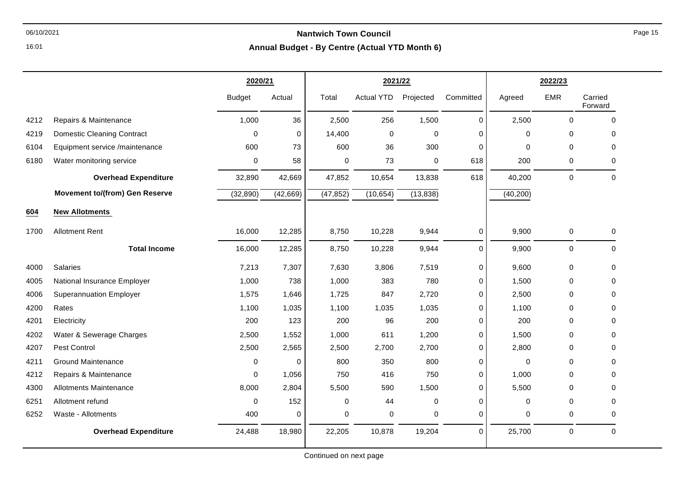## 06/10/2021 **Nantwich Town Council**

**Annual Budget - By Centre (Actual YTD Month 6)**

|      |                                       | 2020/21       |             |             | 2021/22           |             |           |             | 2022/23     |                    |  |
|------|---------------------------------------|---------------|-------------|-------------|-------------------|-------------|-----------|-------------|-------------|--------------------|--|
|      |                                       | <b>Budget</b> | Actual      | Total       | <b>Actual YTD</b> | Projected   | Committed | Agreed      | <b>EMR</b>  | Carried<br>Forward |  |
| 4212 | Repairs & Maintenance                 | 1,000         | 36          | 2,500       | 256               | 1,500       | 0         | 2,500       | 0           | $\mathbf 0$        |  |
| 4219 | <b>Domestic Cleaning Contract</b>     | 0             | $\mathbf 0$ | 14,400      | $\mathbf 0$       | 0           | $\Omega$  | 0           | 0           | 0                  |  |
| 6104 | Equipment service /maintenance        | 600           | 73          | 600         | 36                | 300         | 0         | 0           | $\mathbf 0$ | 0                  |  |
| 6180 | Water monitoring service              | 0             | 58          | $\mathbf 0$ | 73                | 0           | 618       | 200         | $\mathbf 0$ | 0                  |  |
|      | <b>Overhead Expenditure</b>           | 32,890        | 42,669      | 47,852      | 10,654            | 13,838      | 618       | 40,200      | $\pmb{0}$   | $\pmb{0}$          |  |
|      | <b>Movement to/(from) Gen Reserve</b> | (32, 890)     | (42, 669)   | (47, 852)   | (10, 654)         | (13, 838)   |           | (40, 200)   |             |                    |  |
| 604  | <b>New Allotments</b>                 |               |             |             |                   |             |           |             |             |                    |  |
| 1700 | <b>Allotment Rent</b>                 | 16,000        | 12,285      | 8,750       | 10,228            | 9,944       | 0         | 9,900       | 0           | 0                  |  |
|      | <b>Total Income</b>                   | 16,000        | 12,285      | 8,750       | 10,228            | 9,944       | 0         | 9,900       | $\pmb{0}$   | $\mathbf 0$        |  |
| 4000 | Salaries                              | 7,213         | 7,307       | 7,630       | 3,806             | 7,519       | 0         | 9,600       | $\pmb{0}$   | $\mathbf 0$        |  |
| 4005 | National Insurance Employer           | 1,000         | 738         | 1,000       | 383               | 780         | 0         | 1,500       | $\mathbf 0$ | 0                  |  |
| 4006 | <b>Superannuation Employer</b>        | 1,575         | 1,646       | 1,725       | 847               | 2,720       | 0         | 2,500       | 0           | 0                  |  |
| 4200 | Rates                                 | 1,100         | 1,035       | 1,100       | 1,035             | 1,035       | 0         | 1.100       | $\Omega$    | 0                  |  |
| 4201 | Electricity                           | 200           | 123         | 200         | 96                | 200         | 0         | 200         | 0           | 0                  |  |
| 4202 | Water & Sewerage Charges              | 2,500         | 1,552       | 1,000       | 611               | 1,200       | 0         | 1,500       | $\mathbf 0$ | $\mathbf 0$        |  |
| 4207 | Pest Control                          | 2,500         | 2,565       | 2,500       | 2,700             | 2,700       | 0         | 2,800       | $\mathbf 0$ | 0                  |  |
| 4211 | <b>Ground Maintenance</b>             | 0             | 0           | 800         | 350               | 800         | 0         | $\mathbf 0$ | $\mathbf 0$ | 0                  |  |
| 4212 | Repairs & Maintenance                 | 0             | 1,056       | 750         | 416               | 750         | 0         | 1,000       | $\mathbf 0$ | $\mathbf 0$        |  |
| 4300 | <b>Allotments Maintenance</b>         | 8,000         | 2,804       | 5,500       | 590               | 1,500       | 0         | 5,500       | $\Omega$    | $\Omega$           |  |
| 6251 | Allotment refund                      | $\Omega$      | 152         | $\mathbf 0$ | 44                | $\mathbf 0$ | 0         | 0           | $\mathbf 0$ | 0                  |  |
| 6252 | Waste - Allotments                    | 400           | 0           | 0           | 0                 | 0           | 0         | 0           | 0           | 0                  |  |
|      | <b>Overhead Expenditure</b>           | 24,488        | 18,980      | 22,205      | 10,878            | 19,204      | 0         | 25,700      | 0           | $\mathbf 0$        |  |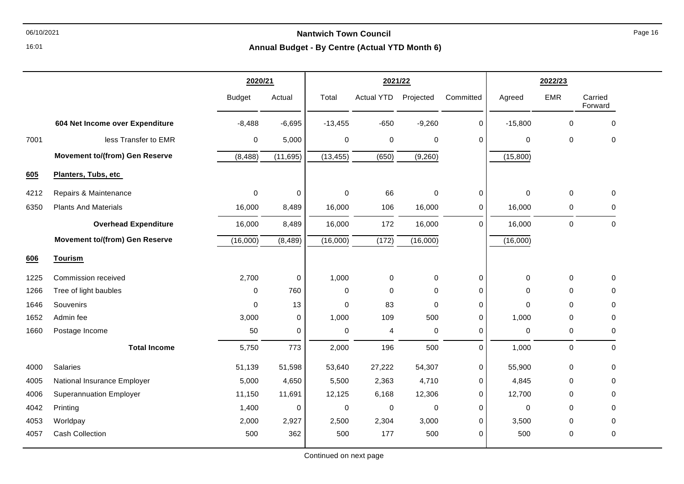**Annual Budget - By Centre (Actual YTD Month 6)**

|      |                                       | 2020/21       |           | 2021/22     |                   |             | 2022/23      |                     |             |                    |
|------|---------------------------------------|---------------|-----------|-------------|-------------------|-------------|--------------|---------------------|-------------|--------------------|
|      |                                       | <b>Budget</b> | Actual    | Total       | <b>Actual YTD</b> | Projected   | Committed    | Agreed              | <b>EMR</b>  | Carried<br>Forward |
|      | 604 Net Income over Expenditure       | $-8,488$      | $-6,695$  | $-13,455$   | $-650$            | $-9,260$    | 0            | $-15,800$           | $\mathbf 0$ | $\mathbf 0$        |
| 7001 | less Transfer to EMR                  | $\mathbf 0$   | 5,000     | $\mathbf 0$ | 0                 | $\pmb{0}$   | $\Omega$     | $\mathbf 0$         | $\mathbf 0$ | $\mathbf 0$        |
|      | <b>Movement to/(from) Gen Reserve</b> | (8, 488)      | (11, 695) | (13, 455)   | (650)             | (9,260)     |              | (15,800)            |             |                    |
| 605  | Planters, Tubs, etc                   |               |           |             |                   |             |              |                     |             |                    |
| 4212 | Repairs & Maintenance                 | 0             | 0         | $\mathbf 0$ | 66                | 0           | $\mathbf{0}$ | $\mathbf 0$         | 0           | 0                  |
| 6350 | <b>Plants And Materials</b>           | 16,000        | 8,489     | 16,000      | 106               | 16,000      | 0            | 16,000              | 0           | 0                  |
|      | <b>Overhead Expenditure</b>           | 16,000        | 8,489     | 16,000      | 172               | 16,000      | $\Omega$     | 16,000              | $\mathbf 0$ | $\mathbf 0$        |
|      | <b>Movement to/(from) Gen Reserve</b> | (16,000)      | (8, 489)  | (16,000)    | (172)             | (16,000)    |              | (16,000)            |             |                    |
| 606  | Tourism                               |               |           |             |                   |             |              |                     |             |                    |
| 1225 | Commission received                   | 2,700         | 0         | 1,000       | 0                 | $\pmb{0}$   | 0            | $\mathsf{O}\xspace$ | $\mathbf 0$ | $\mathbf 0$        |
| 1266 | Tree of light baubles                 | $\Omega$      | 760       | 0           | 0                 | 0           | 0            | $\mathbf 0$         | 0           | $\mathbf 0$        |
| 1646 | Souvenirs                             | $\Omega$      | 13        | $\mathbf 0$ | 83                | $\mathbf 0$ | 0            | $\mathbf 0$         | $\Omega$    | $\mathbf 0$        |
| 1652 | Admin fee                             | 3,000         | 0         | 1,000       | 109               | 500         | 0            | 1,000               | 0           | 0                  |
| 1660 | Postage Income                        | 50            | 0         | $\mathbf 0$ | 4                 | $\pmb{0}$   | 0            | 0                   | 0           | $\mathbf 0$        |
|      | <b>Total Income</b>                   | 5,750         | 773       | 2,000       | 196               | 500         | $\Omega$     | 1,000               | $\mathbf 0$ | $\mathbf 0$        |
| 4000 | Salaries                              | 51,139        | 51,598    | 53,640      | 27,222            | 54,307      | 0            | 55,900              | $\mathbf 0$ | $\mathbf 0$        |
| 4005 | National Insurance Employer           | 5,000         | 4,650     | 5,500       | 2,363             | 4,710       | 0            | 4,845               | 0           | $\mathbf 0$        |
| 4006 | <b>Superannuation Employer</b>        | 11,150        | 11,691    | 12,125      | 6,168             | 12,306      | 0            | 12,700              | $\Omega$    | $\mathbf 0$        |
| 4042 | Printing                              | 1,400         | 0         | $\mathbf 0$ | 0                 | 0           | 0            | 0                   | 0           | $\mathbf 0$        |
| 4053 | Worldpay                              | 2,000         | 2,927     | 2,500       | 2,304             | 3,000       | 0            | 3,500               | $\Omega$    | $\mathbf 0$        |
| 4057 | <b>Cash Collection</b>                | 500           | 362       | 500         | 177               | 500         | 0            | 500                 | 0           | $\mathbf 0$        |

16:01

Continued on next page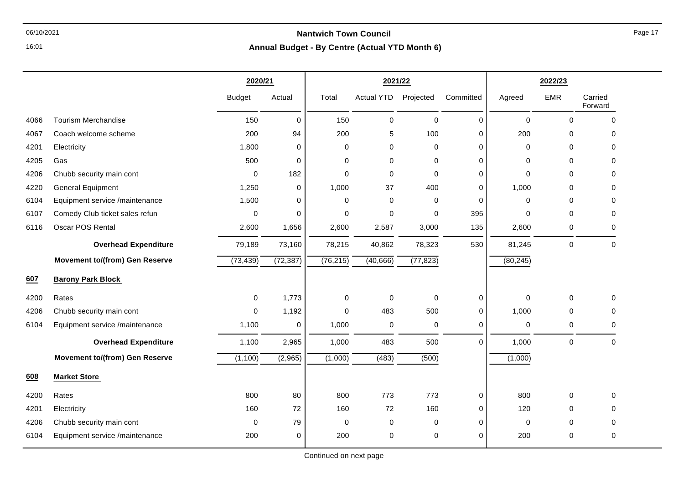**Annual Budget - By Centre (Actual YTD Month 6)**

|      |                                       | 2020/21       |             | 2021/22          |                   |             | 2022/23     |             |             |                    |
|------|---------------------------------------|---------------|-------------|------------------|-------------------|-------------|-------------|-------------|-------------|--------------------|
|      |                                       | <b>Budget</b> | Actual      | Total            | <b>Actual YTD</b> | Projected   | Committed   | Agreed      | <b>EMR</b>  | Carried<br>Forward |
| 4066 | <b>Tourism Merchandise</b>            | 150           | $\mathbf 0$ | 150              | $\mathbf 0$       | $\mathbf 0$ | $\pmb{0}$   | $\mathbf 0$ | $\mathbf 0$ | $\mathbf 0$        |
| 4067 | Coach welcome scheme                  | 200           | 94          | 200              | 5                 | 100         | 0           | 200         | 0           | $\mathbf 0$        |
| 4201 | Electricity                           | 1,800         | 0           | 0                | 0                 | 0           | $\mathbf 0$ | 0           | $\mathbf 0$ | $\Omega$           |
| 4205 | Gas                                   | 500           | 0           | 0                | 0                 | 0           | 0           | 0           | $\mathbf 0$ | $\mathbf{0}$       |
| 4206 | Chubb security main cont              | $\mathbf 0$   | 182         | $\mathbf 0$      | 0                 | $\mathbf 0$ | $\pmb{0}$   | $\mathbf 0$ | $\mathbf 0$ | $\mathbf 0$        |
| 4220 | <b>General Equipment</b>              | 1,250         | 0           | 1,000            | 37                | 400         | $\mathbf 0$ | 1,000       | 0           | 0                  |
| 6104 | Equipment service /maintenance        | 1,500         | 0           | 0                | $\Omega$          | 0           | 0           | $\Omega$    | 0           | 0                  |
| 6107 | Comedy Club ticket sales refun        | $\mathbf 0$   | 0           | 0                | 0                 | 0           | 395         | 0           | 0           | 0                  |
| 6116 | Oscar POS Rental                      | 2,600         | 1,656       | 2,600            | 2,587             | 3,000       | 135         | 2,600       | 0           | $\mathbf 0$        |
|      | <b>Overhead Expenditure</b>           | 79,189        | 73,160      | 78,215           | 40,862            | 78,323      | 530         | 81,245      | $\pmb{0}$   | $\Omega$           |
|      | <b>Movement to/(from) Gen Reserve</b> | (73, 439)     | (72, 387)   | (76, 215)        | (40, 666)         | (77, 823)   |             | (80, 245)   |             |                    |
| 607  | <b>Barony Park Block</b>              |               |             |                  |                   |             |             |             |             |                    |
| 4200 | Rates                                 | $\mathbf 0$   | 1,773       | $\pmb{0}$        | $\mathbf 0$       | $\mathbf 0$ | 0           | 0           | $\pmb{0}$   | $\mathbf 0$        |
| 4206 | Chubb security main cont              | $\mathbf 0$   | 1,192       | $\mathbf 0$      | 483               | 500         | $\pmb{0}$   | 1,000       | $\mathbf 0$ | 0                  |
| 6104 | Equipment service /maintenance        | 1,100         | 0           | 1,000            | 0                 | $\mathbf 0$ | $\mathbf 0$ | $\mathbf 0$ | $\mathbf 0$ | $\mathbf 0$        |
|      | <b>Overhead Expenditure</b>           | 1,100         | 2,965       | 1,000            | 483               | 500         | $\Omega$    | 1,000       | $\pmb{0}$   | $\mathbf 0$        |
|      | <b>Movement to/(from) Gen Reserve</b> | (1, 100)      | (2,965)     | (1,000)          | (483)             | (500)       |             | (1,000)     |             |                    |
| 608  | <b>Market Store</b>                   |               |             |                  |                   |             |             |             |             |                    |
| 4200 | Rates                                 | 800           | 80          | 800              | 773               | 773         | $\pmb{0}$   | 800         | $\mathbf 0$ | 0                  |
| 4201 | Electricity                           | 160           | 72          | 160              | 72                | 160         | $\mathbf 0$ | 120         | 0           | $\mathbf 0$        |
| 4206 | Chubb security main cont              | $\mathbf 0$   | 79          | $\boldsymbol{0}$ | 0                 | $\mathbf 0$ | $\pmb{0}$   | $\pmb{0}$   | 0           | $\mathbf 0$        |
| 6104 | Equipment service /maintenance        | 200           | 0           | 200              | 0                 | $\mathbf 0$ | $\mathbf 0$ | 200         | $\mathbf 0$ | $\mathbf 0$        |

16:01